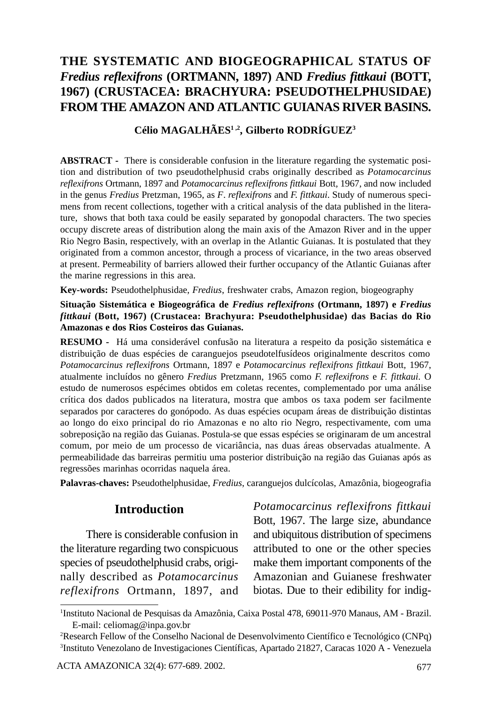# **THE SYSTEMATIC AND BIOGEOGRAPHICAL STATUS OF** *Fredius reflexifrons* **(ORTMANN, 1897) AND** *Fredius fittkaui* **(BOTT, 1967) (CRUSTACEA: BRACHYURA: PSEUDOTHELPHUSIDAE) FROM THE AMAZON AND ATLANTIC GUIANAS RIVER BASINS.**

### **Célio MAGALHÃES1 ,2, Gilberto RODRÍGUEZ3**

**ABSTRACT -** There is considerable confusion in the literature regarding the systematic position and distribution of two pseudothelphusid crabs originally described as *Potamocarcinus reflexifrons* Ortmann, 1897 and *Potamocarcinus reflexifrons fittkaui* Bott*,* 1967, and now included in the genus *Fredius* Pretzman, 1965, as *F*. *reflexifrons* and *F. fittkaui*. Study of numerous specimens from recent collections, together with a critical analysis of the data published in the literature, shows that both taxa could be easily separated by gonopodal characters. The two species occupy discrete areas of distribution along the main axis of the Amazon River and in the upper Rio Negro Basin, respectively, with an overlap in the Atlantic Guianas. It is postulated that they originated from a common ancestor, through a process of vicariance, in the two areas observed at present. Permeability of barriers allowed their further occupancy of the Atlantic Guianas after the marine regressions in this area.

**Key-words:** Pseudothelphusidae, *Fredius*, freshwater crabs, Amazon region, biogeography

**Situação Sistemática e Biogeográfica de** *Fredius reflexifrons* **(Ortmann, 1897) e** *Fredius fittkaui* **(Bott, 1967) (Crustacea: Brachyura: Pseudothelphusidae) das Bacias do Rio Amazonas e dos Rios Costeiros das Guianas.**

**RESUMO -** Há uma considerável confusão na literatura a respeito da posição sistemática e distribuição de duas espécies de caranguejos pseudotelfusídeos originalmente descritos como *Potamocarcinus reflexifrons* Ortmann, 1897 e *Potamocarcinus reflexifrons fittkaui* Bott*,* 1967, atualmente incluídos no gênero *Fredius* Pretzmann, 1965 como *F. reflexifrons* e *F. fittkaui*. O estudo de numerosos espécimes obtidos em coletas recentes, complementado por uma análise crítica dos dados publicados na literatura, mostra que ambos os taxa podem ser facilmente separados por caracteres do gonópodo. As duas espécies ocupam áreas de distribuição distintas ao longo do eixo principal do rio Amazonas e no alto rio Negro, respectivamente, com uma sobreposição na região das Guianas. Postula-se que essas espécies se originaram de um ancestral comum, por meio de um processo de vicariância, nas duas áreas observadas atualmente. A permeabilidade das barreiras permitiu uma posterior distribuição na região das Guianas após as regressões marinhas ocorridas naquela área.

**Palavras-chaves:** Pseudothelphusidae, *Fredius*, caranguejos dulcícolas, Amazônia, biogeografia

### **Introduction**

There is considerable confusion in the literature regarding two conspicuous species of pseudothelphusid crabs, originally described as *Potamocarcinus reflexifrons* Ortmann, 1897, and

*Potamocarcinus reflexifrons fittkaui* Bott*,* 1967. The large size, abundance and ubiquitous distribution of specimens attributed to one or the other species make them important components of the Amazonian and Guianese freshwater biotas. Due to their edibility for indig-

<sup>1</sup> Instituto Nacional de Pesquisas da Amazônia, Caixa Postal 478, 69011-970 Manaus, AM - Brazil. E-mail: celiomag@inpa.gov.br

<sup>2</sup> Research Fellow of the Conselho Nacional de Desenvolvimento Científico e Tecnológico (CNPq) 3 Instituto Venezolano de Investigaciones Científicas, Apartado 21827, Caracas 1020 A - Venezuela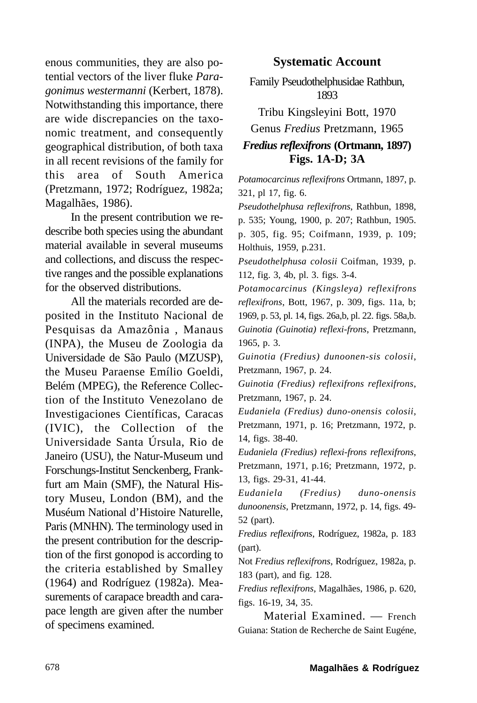enous communities, they are also potential vectors of the liver fluke *Paragonimus westermanni* (Kerbert, 1878). Notwithstanding this importance, there are wide discrepancies on the taxonomic treatment, and consequently geographical distribution, of both taxa in all recent revisions of the family for this area of South America (Pretzmann, 1972; Rodríguez, 1982a; Magalhães, 1986).

In the present contribution we redescribe both species using the abundant material available in several museums and collections, and discuss the respective ranges and the possible explanations for the observed distributions.

All the materials recorded are deposited in the Instituto Nacional de Pesquisas da Amazônia , Manaus (INPA), the Museu de Zoologia da Universidade de São Paulo (MZUSP), the Museu Paraense Emílio Goeldi, Belém (MPEG), the Reference Collection of the Instituto Venezolano de Investigaciones Científicas, Caracas (IVIC), the Collection of the Universidade Santa Úrsula, Rio de Janeiro (USU), the Natur-Museum und Forschungs-Institut Senckenberg, Frankfurt am Main (SMF), the Natural History Museu, London (BM), and the Muséum National d'Histoire Naturelle, Paris (MNHN). The terminology used in the present contribution for the description of the first gonopod is according to the criteria established by Smalley (1964) and Rodríguez (1982a). Measurements of carapace breadth and carapace length are given after the number of specimens examined.

#### **Systematic Account**

Family Pseudothelphusidae Rathbun, 1893

Tribu Kingsleyini Bott, 1970 Genus *Fredius* Pretzmann, 1965 *Fredius reflexifrons* **(Ortmann, 1897) Figs. 1A-D; 3A**

*Potamocarcinus reflexifrons* Ortmann, 1897, p. 321, pl 17, fig. 6.

*Pseudothelphusa reflexifrons*, Rathbun, 1898, p. 535; Young, 1900, p. 207; Rathbun, 1905. p. 305, fig. 95; Coifmann, 1939, p*.* 109; Holthuis, 1959, p.231.

*Pseudothelphusa colosii* Coifman, 1939, p. 112, fig. 3, 4b, pl. 3. figs. 3-4.

*Potamocarcinus (Kingsleya) reflexifrons reflexifrons*, Bott, 1967, p. 309, figs. 11a, b; 1969, p. 53, pl. 14, figs. 26a,b, pl. 22. figs. 58a,b. *Guinotia (Guinotia) reflexi-frons*, Pretzmann, 1965, p. 3.

*Guinotia (Fredius) dunoonen-sis colosii*, Pretzmann, 1967, p. 24.

*Guinotia (Fredius) reflexifrons reflexifrons*, Pretzmann, 1967, p. 24.

*Eudaniela (Fredius) duno-onensis colosii*, Pretzmann, 1971, p. 16; Pretzmann, 1972, p. 14, figs. 38-40.

*Eudaniela (Fredius) reflexi-frons reflexifrons*, Pretzmann, 1971, p.16; Pretzmann, 1972, p. 13, figs. 29-31, 41-44.

*Eudaniela (Fredius) duno-onensis dunoonensis*, Pretzmann, 1972, p. 14, figs. 49- 52 (part).

*Fredius reflexifrons*, Rodríguez, 1982a, p. 183 (part).

Not *Fredius reflexifrons*, Rodríguez, 1982a, p. 183 (part), and fig. 128.

*Fredius reflexifrons*, Magalhães, 1986, p. 620, figs. 16-19, 34, 35.

Material Examined. — French Guiana: Station de Recherche de Saint Eugéne,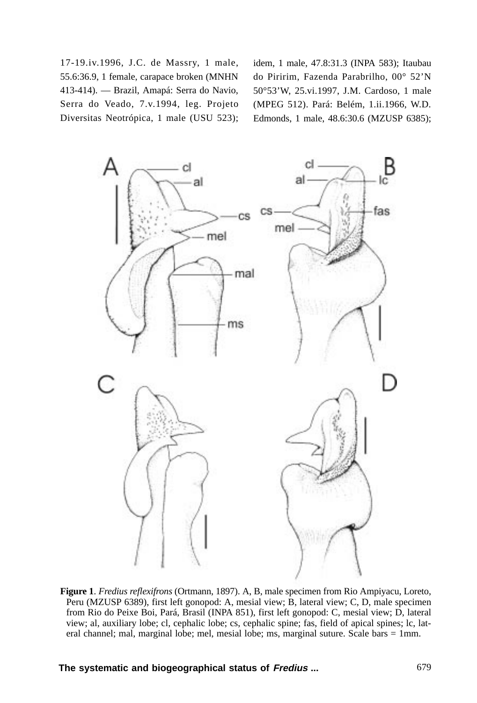17-19.iv.1996, J.C. de Massry, 1 male, 55.6:36.9, 1 female, carapace broken (MNHN 413-414). — Brazil, Amapá: Serra do Navio, Serra do Veado, 7.v.1994, leg. Projeto Diversitas Neotrópica, 1 male (USU 523); idem, 1 male, 47.8:31.3 (INPA 583); Itaubau do Piririm, Fazenda Parabrilho, 00° 52'N 50°53'W, 25.vi.1997, J.M. Cardoso, 1 male (MPEG 512). Pará: Belém, 1.ii.1966, W.D. Edmonds, 1 male, 48.6:30.6 (MZUSP 6385);



**Figure 1**. *Fredius reflexifrons* (Ortmann, 1897). A, B, male specimen from Rio Ampiyacu, Loreto, Peru (MZUSP 6389), first left gonopod: A, mesial view; B, lateral view; C, D, male specimen from Rio do Peixe Boi, Pará, Brasil (INPA 851), first left gonopod: C, mesial view; D, lateral view; al, auxiliary lobe; cl, cephalic lobe; cs, cephalic spine; fas, field of apical spines; lc, lateral channel; mal, marginal lobe; mel, mesial lobe; ms, marginal suture. Scale bars = 1mm.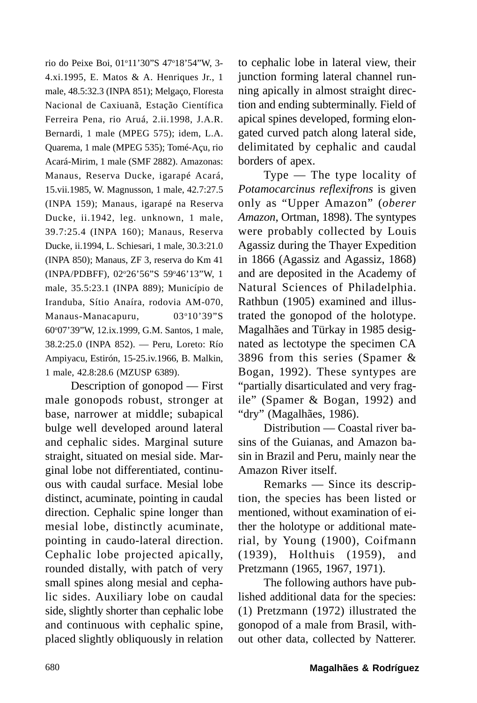rio do Peixe Boi, 01º11'30"S 47º18'54"W, 3-4.xi.1995, E. Matos & A. Henriques Jr., 1 male, 48.5:32.3 (INPA 851); Melgaço, Floresta Nacional de Caxiuanã, Estação Científica Ferreira Pena, rio Aruá, 2.ii.1998, J.A.R. Bernardi, 1 male (MPEG 575); idem, L.A. Quarema, 1 male (MPEG 535); Tomé-Açu, rio Acará-Mirim, 1 male (SMF 2882). Amazonas: Manaus, Reserva Ducke, igarapé Acará, 15.vii.1985, W. Magnusson, 1 male, 42.7:27.5 (INPA 159); Manaus, igarapé na Reserva Ducke, ii.1942, leg. unknown, 1 male, 39.7:25.4 (INPA 160); Manaus, Reserva Ducke, ii.1994, L. Schiesari, 1 male, 30.3:21.0 (INPA 850); Manaus, ZF 3, reserva do Km 41 (INPA/PDBFF), 02°26'56"S 59°46'13"W, 1 male, 35.5:23.1 (INPA 889); Município de Iranduba, Sítio Anaíra, rodovia AM-070, Manaus-Manacapuru, 03°10'39"S 60o 07'39"W, 12.ix.1999, G.M. Santos, 1 male, 38.2:25.0 (INPA 852). — Peru, Loreto: Río Ampiyacu, Estirón, 15-25.iv.1966, B. Malkin, 1 male, 42.8:28.6 (MZUSP 6389).

Description of gonopod — First male gonopods robust, stronger at base, narrower at middle; subapical bulge well developed around lateral and cephalic sides. Marginal suture straight, situated on mesial side. Marginal lobe not differentiated, continuous with caudal surface. Mesial lobe distinct, acuminate, pointing in caudal direction. Cephalic spine longer than mesial lobe, distinctly acuminate, pointing in caudo-lateral direction. Cephalic lobe projected apically, rounded distally, with patch of very small spines along mesial and cephalic sides. Auxiliary lobe on caudal side, slightly shorter than cephalic lobe and continuous with cephalic spine, placed slightly obliquously in relation

to cephalic lobe in lateral view, their junction forming lateral channel running apically in almost straight direction and ending subterminally. Field of apical spines developed, forming elongated curved patch along lateral side, delimitated by cephalic and caudal borders of apex.

Type — The type locality of *Potamocarcinus reflexifrons* is given only as "Upper Amazon" (*oberer Amazon*, Ortman, 1898). The syntypes were probably collected by Louis Agassiz during the Thayer Expedition in 1866 (Agassiz and Agassiz, 1868) and are deposited in the Academy of Natural Sciences of Philadelphia. Rathbun (1905) examined and illustrated the gonopod of the holotype. Magalhães and Türkay in 1985 designated as lectotype the specimen CA 3896 from this series (Spamer & Bogan, 1992). These syntypes are "partially disarticulated and very fragile" (Spamer & Bogan, 1992) and "dry" (Magalhães, 1986).

Distribution — Coastal river basins of the Guianas, and Amazon basin in Brazil and Peru, mainly near the Amazon River itself.

Remarks — Since its description, the species has been listed or mentioned, without examination of either the holotype or additional material, by Young (1900), Coifmann (1939), Holthuis (1959), and Pretzmann (1965, 1967, 1971).

The following authors have published additional data for the species: (1) Pretzmann (1972) illustrated the gonopod of a male from Brasil, without other data, collected by Natterer.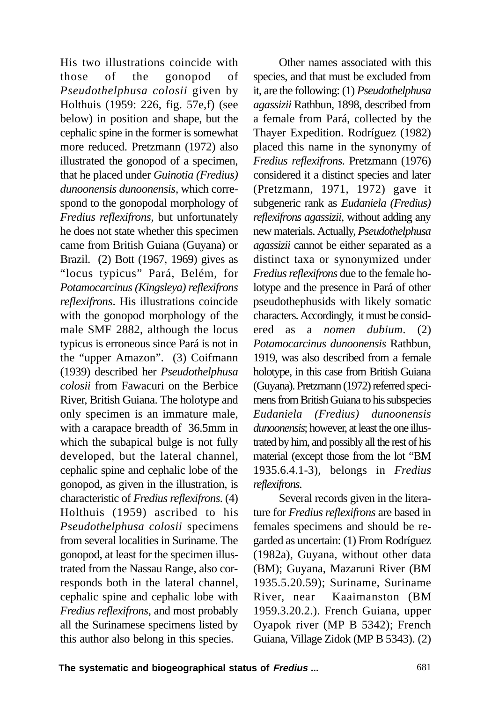His two illustrations coincide with those of the gonopod of *Pseudothelphusa colosii* given by Holthuis (1959: 226, fig. 57e,f) (see below) in position and shape, but the cephalic spine in the former is somewhat more reduced. Pretzmann (1972) also illustrated the gonopod of a specimen, that he placed under *Guinotia (Fredius) dunoonensis dunoonensis*, which correspond to the gonopodal morphology of *Fredius reflexifrons*, but unfortunately he does not state whether this specimen came from British Guiana (Guyana) or Brazil. (2) Bott (1967, 1969) gives as "locus typicus" Pará, Belém, for *Potamocarcinus(Kingsleya) reflexifrons reflexifrons*. His illustrations coincide with the gonopod morphology of the male SMF 2882, although the locus typicus is erroneous since Pará is not in the "upper Amazon". (3) Coifmann (1939) described her *Pseudothelphusa colosii* from Fawacuri on the Berbice River, British Guiana. The holotype and only specimen is an immature male, with a carapace breadth of 36.5mm in which the subapical bulge is not fully developed, but the lateral channel, cephalic spine and cephalic lobe of the gonopod, as given in the illustration, is characteristic of *Fredius reflexifrons*. (4) Holthuis (1959) ascribed to his *Pseudothelphusa colosii* specimens from several localities in Suriname. The gonopod, at least for the specimen illustrated from the Nassau Range, also corresponds both in the lateral channel, cephalic spine and cephalic lobe with *Fredius reflexifrons,* and most probably all the Surinamese specimens listed by this author also belong in this species.

Other names associated with this species, and that must be excluded from it, are the following: (1) *Pseudothelphusa agassizii* Rathbun, 1898, described from a female from Pará, collected by the Thayer Expedition. Rodríguez (1982) placed this name in the synonymy of *Fredius reflexifrons*. Pretzmann (1976) considered it a distinct species and later (Pretzmann, 1971, 1972) gave it subgeneric rank as *Eudaniela (Fredius) reflexifrons agassizii*, without adding any new materials. Actually, *Pseudothelphusa agassizii* cannot be either separated as a distinct taxa or synonymized under *Fredius reflexifrons* due to the female holotype and the presence in Pará of other pseudothephusids with likely somatic characters. Accordingly, it must be considered as a *nomen dubium*. (2) *Potamocarcinus dunoonensis* Rathbun, 1919, was also described from a female holotype, in this case from British Guiana (Guyana). Pretzmann (1972) referred specimens from British Guiana to his subspecies *Eudaniela (Fredius) dunoonensis dunoonensis*; however, at least the one illustrated by him, and possibly all the rest of his material (except those from the lot "BM 1935.6.4.1-3), belongs in *Fredius reflexifrons*.

Several records given in the literature for *Fredius reflexifrons* are based in females specimens and should be regarded as uncertain: (1) From Rodríguez (1982a), Guyana, without other data (BM); Guyana, Mazaruni River (BM 1935.5.20.59); Suriname, Suriname River, near Kaaimanston (BM 1959.3.20.2.). French Guiana, upper Oyapok river (MP B 5342); French Guiana, Village Zidok (MP B 5343). (2)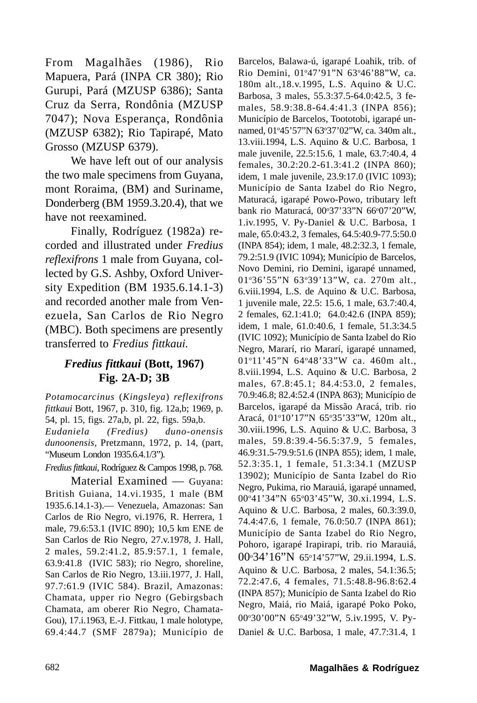From Magalhães (1986), Rio Mapuera, Pará (INPA CR 380); Rio Gurupi, Pará (MZUSP 6386); Santa Cruz da Serra, Rondônia (MZUSP 7047); Nova Esperança, Rondônia (MZUSP 6382); Rio Tapirapé, Mato Grosso (MZUSP 6379).

We have left out of our analysis the two male specimens from Guyana, mont Roraima, (BM) and Suriname, Donderberg (BM 1959.3.20.4), that we have not reexamined.

Finally, Rodríguez (1982a) recorded and illustrated under *Fredius reflexifrons* 1 male from Guyana, collected by G.S. Ashby, Oxford University Expedition (BM 1935.6.14.1-3) and recorded another male from Venezuela, San Carlos de Rio Negro (MBC). Both specimens are presently transferred to *Fredius fittkaui*.

# *Fredius fittkaui* **(Bott, 1967) Fig. 2A-D; 3B**

*Potamocarcinus* (*Kingsleya*) *reflexifrons fittkaui* Bott, 1967, p. 310, fig. 12a,b; 1969, p. 54, pl. 15, figs. 27a,b, pl. 22, figs. 59a,b. *Eudaniela (Fredius) duno-onensis dunoonensis,* Pretzmann, 1972, p. 14, (part, "Museum London 1935.6.4.1/3").

*Fredius fittkaui*, Rodríguez & Campos 1998, p. 768.

Material Examined — Guyana: British Guiana, 14.vi.1935, 1 male (BM 1935.6.14.1-3).— Venezuela, Amazonas: San Carlos de Rio Negro, vi.1976, R. Herrera, 1 male, 79.6:53.1 (IVIC 890); 10,5 km ENE de San Carlos de Rio Negro, 27.v.1978, J. Hall, 2 males, 59.2:41.2, 85.9:57.1, 1 female, 63.9:41.8 (IVIC 583); rio Negro, shoreline, San Carlos de Rio Negro, 13.iii.1977, J. Hall, 97.7:61.9 (IVIC 584). Brazil, Amazonas: Chamata, upper rio Negro (Gebirgsbach Chamata, am oberer Rio Negro, Chamata-Gou), 17.i.1963, E.-J. Fittkau, 1 male holotype, 69.4:44.7 (SMF 2879a); Município de

Barcelos, Balawa-ú, igarapé Loahik, trib. of Rio Demini, 01°47'91"N 63°46'88"W, ca. 180m alt.,18.v.1995, L.S. Aquino & U.C. Barbosa, 3 males, 55.3:37.5-64.0:42.5, 3 females, 58.9:38.8-64.4:41.3 (INPA 856); Município de Barcelos, Toototobi, igarapé unnamed, 01°45'57"N 63°37'02"W, ca. 340m alt., 13.viii.1994, L.S. Aquino & U.C. Barbosa, 1 male juvenile, 22.5:15.6, 1 male, 63.7:40.4, 4 females, 30.2:20.2-61.3:41.2 (INPA 860); idem, 1 male juvenile, 23.9:17.0 (IVIC 1093); Município de Santa Izabel do Rio Negro, Maturacá, igarapé Powo-Powo, tributary left bank rio Maturacá, 00°37'33"N 66°07'20"W, 1.iv.1995, V. Py-Daniel & U.C. Barbosa, 1 male, 65.0:43.2, 3 females, 64.5:40.9-77.5:50.0 (INPA 854); idem, 1 male, 48.2:32.3, 1 female, 79.2:51.9 (IVIC 1094); Município de Barcelos, Novo Demini, rio Demini, igarapé unnamed, 01o 36'55"N 63o 39'13"W, ca. 270m alt., 6.viii.1994, L.S. de Aquino & U.C. Barbosa, 1 juvenile male, 22.5: 15.6, 1 male, 63.7:40.4, 2 females, 62.1:41.0; 64.0:42.6 (INPA 859); idem, 1 male, 61.0:40.6, 1 female, 51.3:34.5 (IVIC 1092); Município de Santa Izabel do Rio Negro, Mararí, rio Mararí, igarapé unnamed, 01°11'45"N 64°48'33"W ca. 460m alt., 8.viii.1994, L.S. Aquino & U.C. Barbosa, 2 males, 67.8:45.1; 84.4:53.0, 2 females, 70.9:46.8; 82.4:52.4 (INPA 863); Município de Barcelos, igarapé da Missão Aracá, trib. rio Aracá, 01°10'17"N 65°35'33"W, 120m alt., 30.viii.1996, L.S. Aquino & U.C. Barbosa, 3 males, 59.8:39.4-56.5:37.9, 5 females, 46.9:31.5-79.9:51.6 (INPA 855); idem, 1 male, 52.3:35.1, 1 female, 51.3:34.1 (MZUSP 13902); Município de Santa Izabel do Rio Negro, Pukima, rio Marauiá, igarapé unnamed, 00°41'34"N 65°03'45"W, 30.xi.1994, L.S. Aquino & U.C. Barbosa, 2 males, 60.3:39.0, 74.4:47.6, 1 female, 76.0:50.7 (INPA 861); Município de Santa Izabel do Rio Negro, Pohoro, igarapé Irapirapi, trib. rio Marauiá, 00<sup>°</sup>34'16''N 65°14'57''W, 29.ii.1994, L.S. Aquino & U.C. Barbosa, 2 males, 54.1:36.5; 72.2:47.6, 4 females, 71.5:48.8-96.8:62.4 (INPA 857); Município de Santa Izabel do Rio Negro, Maiá, rio Maiá, igarapé Poko Poko, 00°30'00"N 65°49'32"W, 5.iv.1995, V. Py-Daniel & U.C. Barbosa, 1 male, 47.7:31.4, 1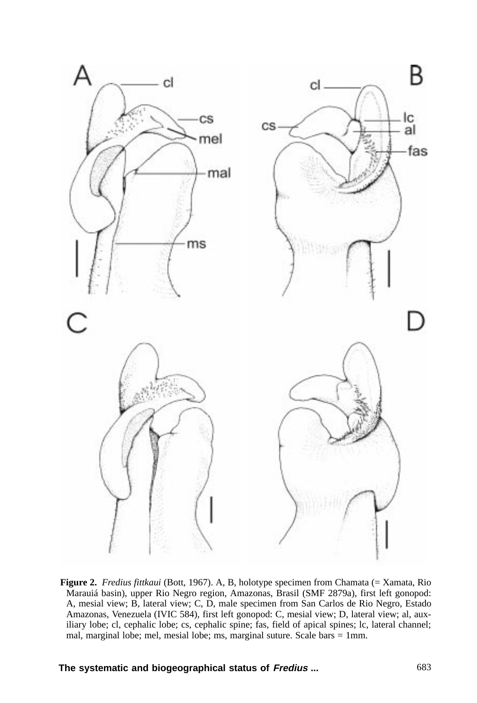

**Figure 2.** *Fredius fittkaui* (Bott, 1967). A, B, holotype specimen from Chamata (= Xamata, Rio Marauiá basin), upper Rio Negro region, Amazonas, Brasil (SMF 2879a), first left gonopod: A, mesial view; B, lateral view; C, D, male specimen from San Carlos de Rio Negro, Estado Amazonas, Venezuela (IVIC 584), first left gonopod: C, mesial view; D, lateral view; al, auxiliary lobe; cl, cephalic lobe; cs, cephalic spine; fas, field of apical spines; lc, lateral channel; mal, marginal lobe; mel, mesial lobe; ms, marginal suture. Scale bars = 1mm.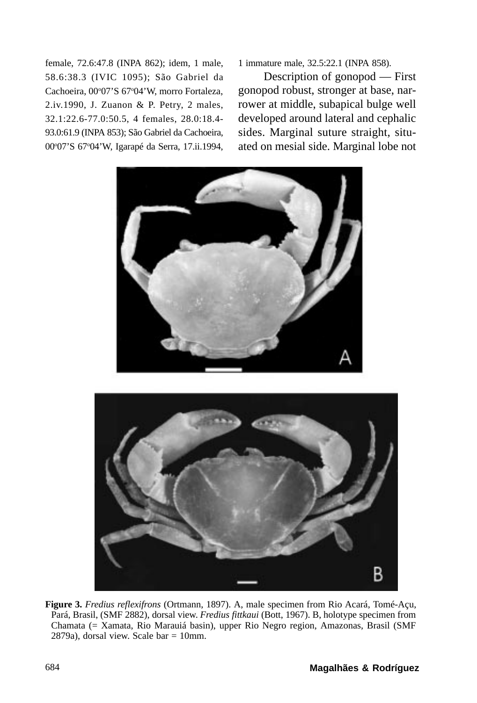female, 72.6:47.8 (INPA 862); idem, 1 male, 58.6:38.3 (IVIC 1095); São Gabriel da Cachoeira, 00°07'S 67°04'W, morro Fortaleza, 2.iv.1990, J. Zuanon & P. Petry, 2 males, 32.1:22.6-77.0:50.5, 4 females, 28.0:18.4- 93.0:61.9 (INPA 853); São Gabriel da Cachoeira, 00°07'S 67°04'W, Igarapé da Serra, 17.ii.1994,

1 immature male, 32.5:22.1 (INPA 858).

Description of gonopod — First gonopod robust, stronger at base, narrower at middle, subapical bulge well developed around lateral and cephalic sides. Marginal suture straight, situated on mesial side. Marginal lobe not





**Figure 3.** *Fredius reflexifrons* (Ortmann, 1897). A, male specimen from Rio Acará, Tomé-Açu, Pará, Brasil, (SMF 2882), dorsal view. *Fredius fittkaui* (Bott, 1967). B, holotype specimen from Chamata (= Xamata, Rio Marauiá basin), upper Rio Negro region, Amazonas, Brasil (SMF 2879a), dorsal view. Scale bar = 10mm.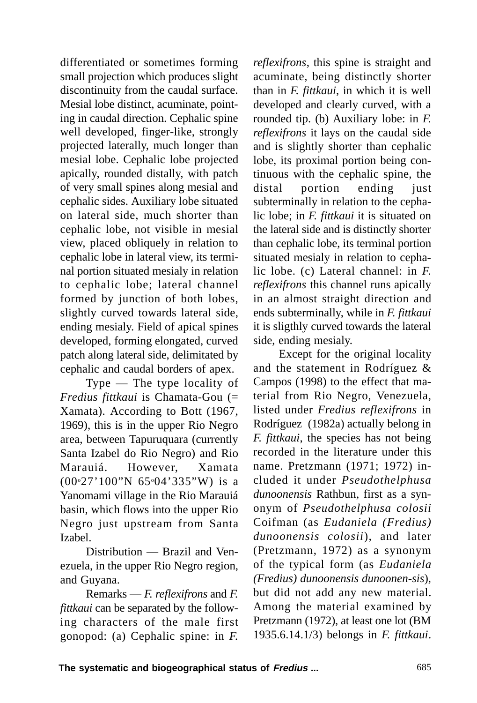differentiated or sometimes forming small projection which produces slight discontinuity from the caudal surface. Mesial lobe distinct, acuminate, pointing in caudal direction. Cephalic spine well developed, finger-like, strongly projected laterally, much longer than mesial lobe. Cephalic lobe projected apically, rounded distally, with patch of very small spines along mesial and cephalic sides. Auxiliary lobe situated on lateral side, much shorter than cephalic lobe, not visible in mesial view, placed obliquely in relation to cephalic lobe in lateral view, its terminal portion situated mesialy in relation to cephalic lobe; lateral channel formed by junction of both lobes, slightly curved towards lateral side, ending mesialy. Field of apical spines developed, forming elongated, curved patch along lateral side, delimitated by cephalic and caudal borders of apex.

Type — The type locality of *Fredius fittkaui* is Chamata-Gou (= Xamata). According to Bott (1967, 1969), this is in the upper Rio Negro area, between Tapuruquara (currently Santa Izabel do Rio Negro) and Rio Marauiá. However, Xamata (00o 27'100"N 65o04'335"W) is a Yanomami village in the Rio Marauiá basin, which flows into the upper Rio Negro just upstream from Santa Izabel.

Distribution — Brazil and Venezuela, in the upper Rio Negro region, and Guyana.

Remarks — *F. reflexifrons* and *F. fittkaui* can be separated by the following characters of the male first gonopod: (a) Cephalic spine: in *F.*

*reflexifrons*, this spine is straight and acuminate, being distinctly shorter than in *F. fittkaui*, in which it is well developed and clearly curved, with a rounded tip. (b) Auxiliary lobe: in *F. reflexifrons* it lays on the caudal side and is slightly shorter than cephalic lobe, its proximal portion being continuous with the cephalic spine, the distal portion ending just subterminally in relation to the cephalic lobe; in *F. fittkaui* it is situated on the lateral side and is distinctly shorter than cephalic lobe, its terminal portion situated mesialy in relation to cephalic lobe. (c) Lateral channel: in *F. reflexifrons* this channel runs apically in an almost straight direction and ends subterminally, while in *F. fittkaui* it is sligthly curved towards the lateral side, ending mesialy.

Except for the original locality and the statement in Rodríguez & Campos (1998) to the effect that material from Rio Negro, Venezuela, listed under *Fredius reflexifrons* in Rodríguez (1982a) actually belong in *F. fittkaui*, the species has not being recorded in the literature under this name. Pretzmann (1971; 1972) included it under *Pseudothelphusa dunoonensis* Rathbun*,* first as a synonym of *Pseudothelphusa colosii* Coifman (as *Eudaniela (Fredius) dunoonensis colosii*)*,* and later (Pretzmann, 1972) as a synonym of the typical form (as *Eudaniela (Fredius) dunoonensis dunoonen-sis*), but did not add any new material. Among the material examined by Pretzmann (1972), at least one lot (BM 1935.6.14.1/3) belongs in *F. fittkaui*.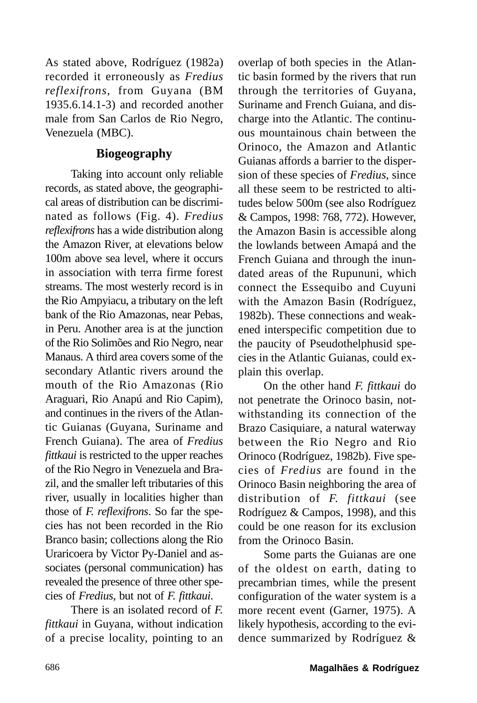As stated above, Rodríguez (1982a) recorded it erroneously as *Fredius reflexifrons*, from Guyana (BM 1935.6.14.1-3) and recorded another male from San Carlos de Rio Negro, Venezuela (MBC).

## **Biogeography**

Taking into account only reliable records, as stated above, the geographical areas of distribution can be discriminated as follows (Fig. 4). *Fredius reflexifrons* has a wide distribution along the Amazon River, at elevations below 100m above sea level, where it occurs in association with terra firme forest streams. The most westerly record is in the Rio Ampyiacu, a tributary on the left bank of the Rio Amazonas, near Pebas, in Peru. Another area is at the junction of the Rio Solimões and Rio Negro, near Manaus. A third area covers some of the secondary Atlantic rivers around the mouth of the Rio Amazonas (Rio Araguari, Rio Anapú and Rio Capim), and continues in the rivers of the Atlantic Guianas (Guyana, Suriname and French Guiana). The area of *Fredius fittkaui* is restricted to the upper reaches of the Rio Negro in Venezuela and Brazil, and the smaller left tributaries of this river, usually in localities higher than those of *F. reflexifrons*. So far the species has not been recorded in the Rio Branco basin; collections along the Rio Uraricoera by Victor Py-Daniel and associates (personal communication) has revealed the presence of three other species of *Fredius*, but not of *F. fittkaui*.

There is an isolated record of *F. fittkaui* in Guyana, without indication of a precise locality, pointing to an overlap of both species in the Atlantic basin formed by the rivers that run through the territories of Guyana, Suriname and French Guiana, and discharge into the Atlantic. The continuous mountainous chain between the Orinoco, the Amazon and Atlantic Guianas affords a barrier to the dispersion of these species of *Fredius*, since all these seem to be restricted to altitudes below 500m (see also Rodríguez & Campos, 1998: 768, 772). However, the Amazon Basin is accessible along the lowlands between Amapá and the French Guiana and through the inundated areas of the Rupununi, which connect the Essequibo and Cuyuni with the Amazon Basin (Rodríguez, 1982b). These connections and weakened interspecific competition due to the paucity of Pseudothelphusid species in the Atlantic Guianas, could explain this overlap.

On the other hand *F. fittkaui* do not penetrate the Orinoco basin, notwithstanding its connection of the Brazo Casiquiare, a natural waterway between the Rio Negro and Rio Orinoco (Rodríguez, 1982b). Five species of *Fredius* are found in the Orinoco Basin neighboring the area of distribution of *F. fittkaui* (see Rodríguez & Campos, 1998), and this could be one reason for its exclusion from the Orinoco Basin.

Some parts the Guianas are one of the oldest on earth, dating to precambrian times, while the present configuration of the water system is a more recent event (Garner, 1975). A likely hypothesis, according to the evidence summarized by Rodríguez &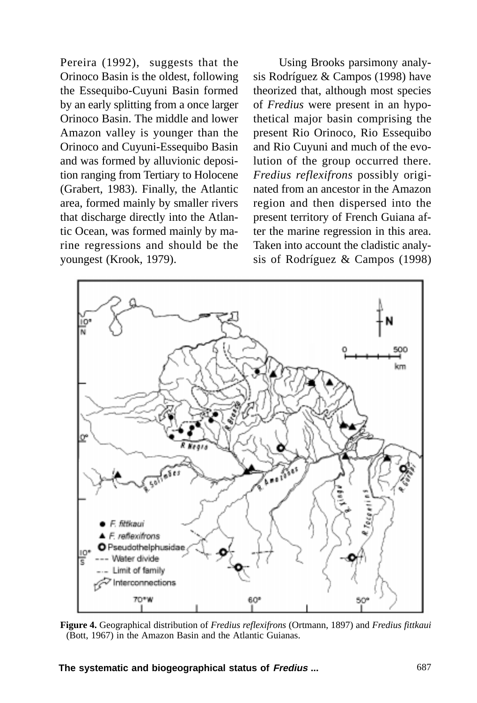Pereira (1992), suggests that the Orinoco Basin is the oldest, following the Essequibo-Cuyuni Basin formed by an early splitting from a once larger Orinoco Basin. The middle and lower Amazon valley is younger than the Orinoco and Cuyuni-Essequibo Basin and was formed by alluvionic deposition ranging from Tertiary to Holocene (Grabert, 1983). Finally, the Atlantic area, formed mainly by smaller rivers that discharge directly into the Atlantic Ocean, was formed mainly by marine regressions and should be the youngest (Krook, 1979).

Using Brooks parsimony analysis Rodríguez & Campos (1998) have theorized that, although most species of *Fredius* were present in an hypothetical major basin comprising the present Rio Orinoco, Rio Essequibo and Rio Cuyuni and much of the evolution of the group occurred there. *Fredius reflexifrons* possibly originated from an ancestor in the Amazon region and then dispersed into the present territory of French Guiana after the marine regression in this area. Taken into account the cladistic analysis of Rodríguez & Campos (1998)



**Figure 4.** Geographical distribution of *Fredius reflexifrons* (Ortmann, 1897) and *Fredius fittkaui* (Bott, 1967) in the Amazon Basin and the Atlantic Guianas.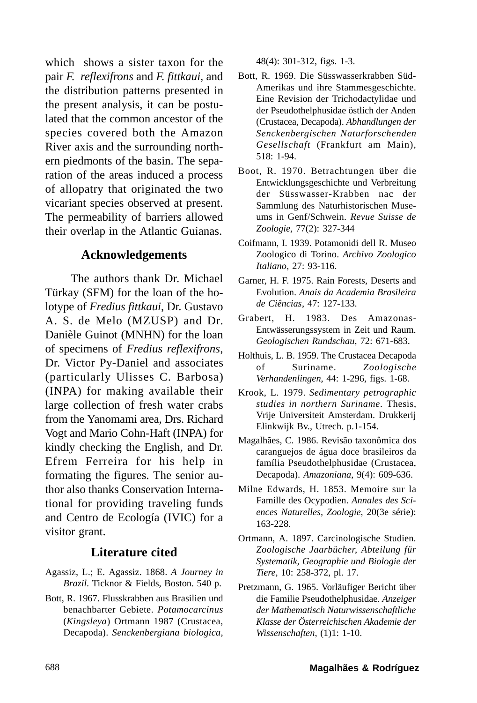which shows a sister taxon for the pair *F. reflexifrons* and *F. fittkaui*, and the distribution patterns presented in the present analysis, it can be postulated that the common ancestor of the species covered both the Amazon River axis and the surrounding northern piedmonts of the basin. The separation of the areas induced a process of allopatry that originated the two vicariant species observed at present. The permeability of barriers allowed their overlap in the Atlantic Guianas.

### **Acknowledgements**

The authors thank Dr. Michael Türkay (SFM) for the loan of the holotype of *Fredius fittkaui*, Dr. Gustavo A. S. de Melo (MZUSP) and Dr. Danièle Guinot (MNHN) for the loan of specimens of *Fredius reflexifrons*, Dr. Victor Py-Daniel and associates (particularly Ulisses C. Barbosa) (INPA) for making available their large collection of fresh water crabs from the Yanomami area, Drs. Richard Vogt and Mario Cohn-Haft (INPA) for kindly checking the English, and Dr. Efrem Ferreira for his help in formating the figures. The senior author also thanks Conservation International for providing traveling funds and Centro de Ecología (IVIC) for a visitor grant.

### **Literature cited**

- Agassiz, L.; E. Agassiz. 1868. *A Journey in Brazil*. Ticknor & Fields, Boston. 540 p.
- Bott, R. 1967. Flusskrabben aus Brasilien und benachbarter Gebiete. *Potamocarcinus* (*Kingsleya*) Ortmann 1987 (Crustacea, Decapoda). *Senckenbergiana biologica*,

48(4): 301-312, figs. 1-3.

- Bott, R. 1969. Die Süsswasserkrabben Süd-Amerikas und ihre Stammesgeschichte. Eine Revision der Trichodactylidae und der Pseudothelphusidae östlich der Anden (Crustacea, Decapoda). *Abhandlungen der Senckenbergischen Naturforschenden Gesellschaft* (Frankfurt am Main), 518: 1-94.
- Boot, R. 1970. Betrachtungen über die Entwicklungsgeschichte und Verbreitung der Süsswasser-Krabben nac der Sammlung des Naturhistorischen Museums in Genf/Schwein. *Revue Suisse de Zoologie*, 77(2): 327-344
- Coifmann, I. 1939. Potamonidi dell R. Museo Zoologico di Torino. *Archivo Zoologico Italiano*, 27: 93-116.
- Garner, H. F. 1975. Rain Forests, Deserts and Evolution. *Anais da Academia Brasileira de Ciências*, 47: 127-133.
- Grabert, H. 1983. Des Amazonas-Entwässerungssystem in Zeit und Raum. *Geologischen Rundschau*, 72: 671-683.
- Holthuis, L. B. 1959. The Crustacea Decapoda of Suriname. *Zoologische Verhandenlingen*, 44: 1-296, figs. 1-68.
- Krook, L. 1979. *Sedimentary petrographic studies in northern Suriname*. Thesis, Vrije Universiteit Amsterdam. Drukkerij Elinkwijk Bv., Utrech. p.1-154.
- Magalhães, C. 1986. Revisão taxonômica dos caranguejos de água doce brasileiros da família Pseudothelphusidae (Crustacea, Decapoda). *Amazoniana*, 9(4): 609-636.
- Milne Edwards, H. 1853. Memoire sur la Famille des Ocypodien. *Annales des Sciences Naturelles, Zoologie*, 20(3e série): 163-228.
- Ortmann, A. 1897. Carcinologische Studien. *Zoologische Jaarbücher, Abteilung für Systematik, Geographie und Biologie der Tiere*, 10: 258-372, pl. 17.
- Pretzmann, G. 1965. Vorläufiger Bericht über die Familie Pseudothelphusidae. *Anzeiger der Mathematisch Naturwissenschaftliche Klasse der Österreichischen Akademie der Wissenschaften*, (1)1: 1-10.